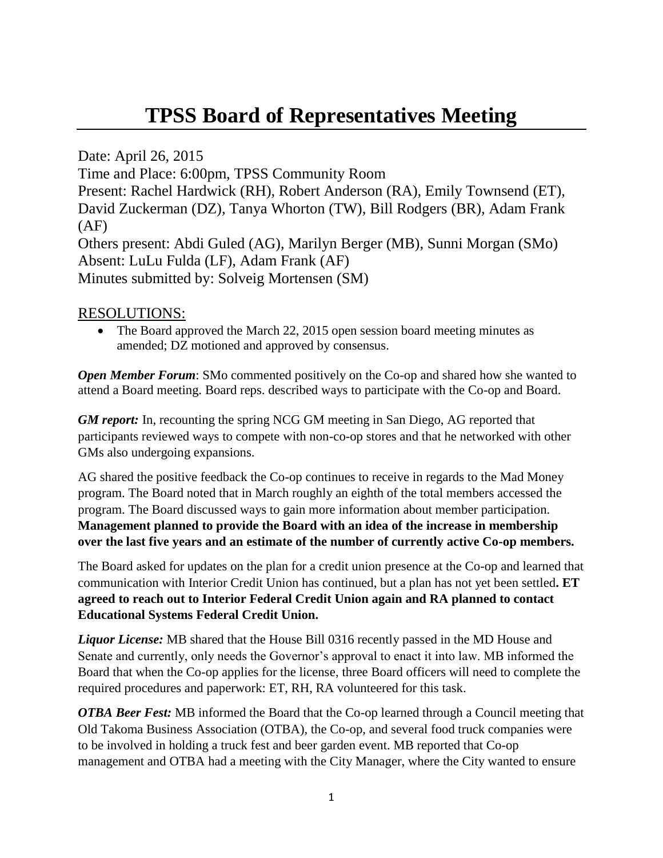## **TPSS Board of Representatives Meeting**

Date: April 26, 2015

Time and Place: 6:00pm, TPSS Community Room

Present: Rachel Hardwick (RH), Robert Anderson (RA), Emily Townsend (ET), David Zuckerman (DZ), Tanya Whorton (TW), Bill Rodgers (BR), Adam Frank  $(AF)$ 

Others present: Abdi Guled (AG), Marilyn Berger (MB), Sunni Morgan (SMo) Absent: LuLu Fulda (LF), Adam Frank (AF) Minutes submitted by: Solveig Mortensen (SM)

## RESOLUTIONS:

 The Board approved the March 22, 2015 open session board meeting minutes as amended; DZ motioned and approved by consensus.

*Open Member Forum:* SMo commented positively on the Co-op and shared how she wanted to attend a Board meeting. Board reps. described ways to participate with the Co-op and Board.

*GM report:* In, recounting the spring NCG GM meeting in San Diego, AG reported that participants reviewed ways to compete with non-co-op stores and that he networked with other GMs also undergoing expansions.

AG shared the positive feedback the Co-op continues to receive in regards to the Mad Money program. The Board noted that in March roughly an eighth of the total members accessed the program. The Board discussed ways to gain more information about member participation. **Management planned to provide the Board with an idea of the increase in membership over the last five years and an estimate of the number of currently active Co-op members.**

The Board asked for updates on the plan for a credit union presence at the Co-op and learned that communication with Interior Credit Union has continued, but a plan has not yet been settled**. ET agreed to reach out to Interior Federal Credit Union again and RA planned to contact Educational Systems Federal Credit Union.** 

*Liquor License:* MB shared that the House Bill 0316 recently passed in the MD House and Senate and currently, only needs the Governor's approval to enact it into law. MB informed the Board that when the Co-op applies for the license, three Board officers will need to complete the required procedures and paperwork: ET, RH, RA volunteered for this task.

*OTBA Beer Fest:* MB informed the Board that the Co-op learned through a Council meeting that Old Takoma Business Association (OTBA), the Co-op, and several food truck companies were to be involved in holding a truck fest and beer garden event. MB reported that Co-op management and OTBA had a meeting with the City Manager, where the City wanted to ensure